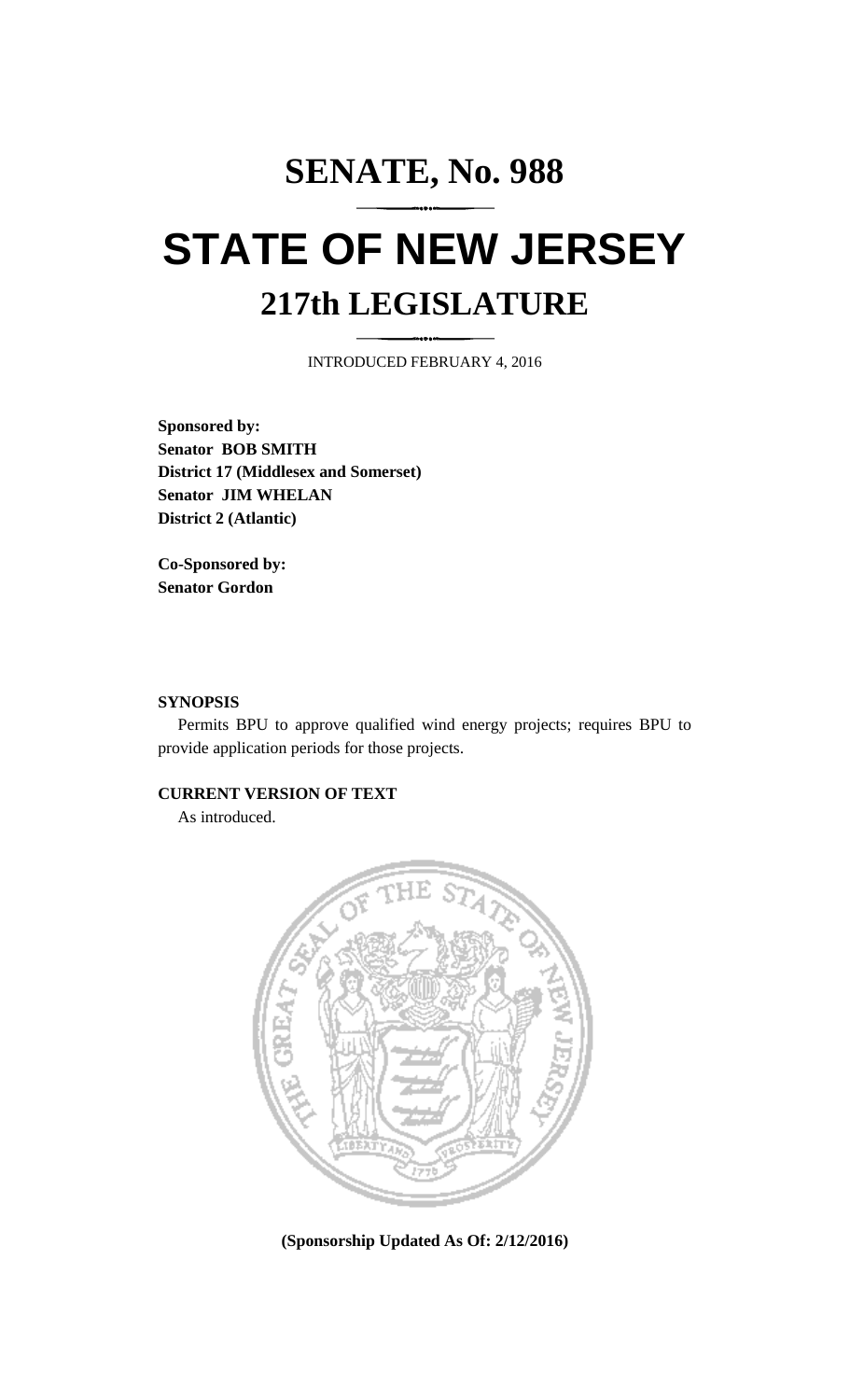## **SENATE, No. 988 STATE OF NEW JERSEY 217th LEGISLATURE**

INTRODUCED FEBRUARY 4, 2016

**Sponsored by: Senator BOB SMITH District 17 (Middlesex and Somerset) Senator JIM WHELAN District 2 (Atlantic)**

**Co-Sponsored by: Senator Gordon**

## **SYNOPSIS**

Permits BPU to approve qualified wind energy projects; requires BPU to provide application periods for those projects.

## **CURRENT VERSION OF TEXT**

As introduced.



**(Sponsorship Updated As Of: 2/12/2016)**